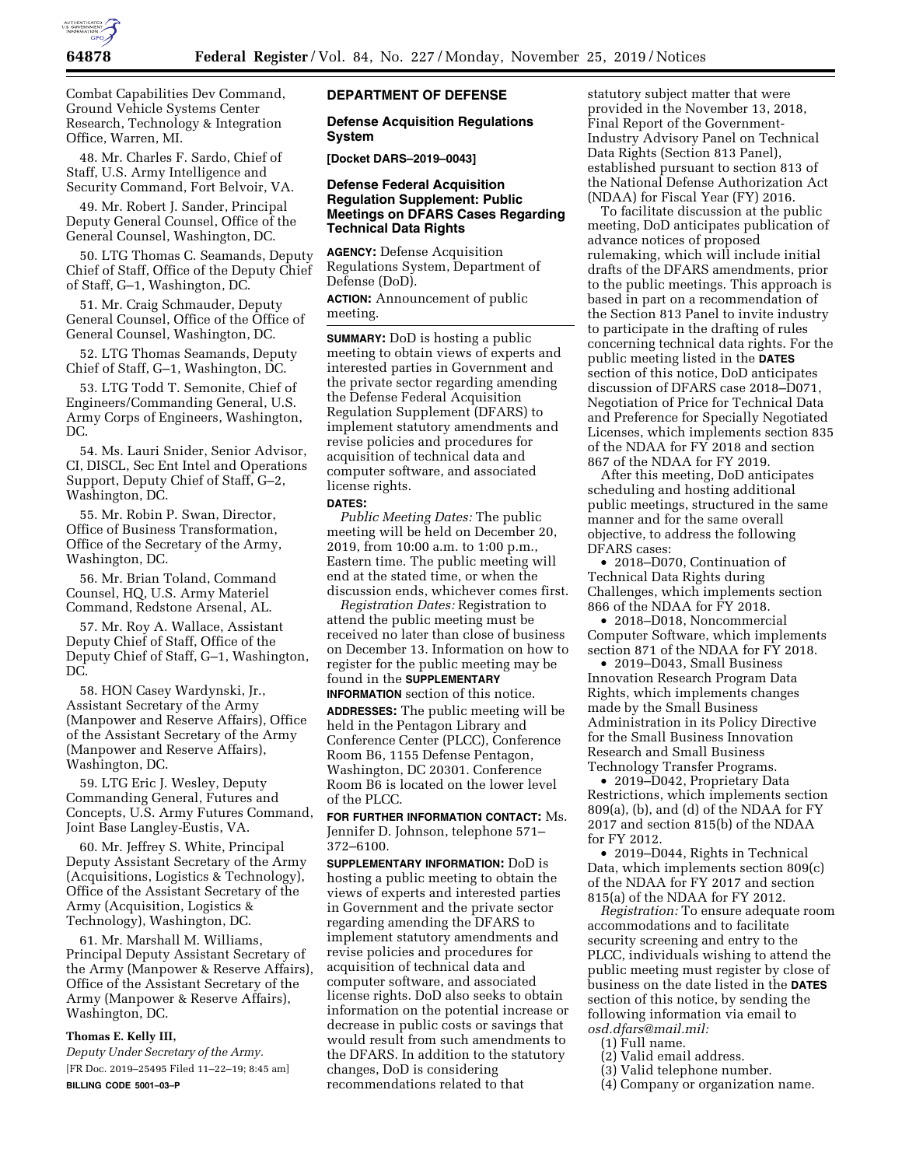

Combat Capabilities Dev Command, Ground Vehicle Systems Center Research, Technology & Integration Office, Warren, MI.

48. Mr. Charles F. Sardo, Chief of Staff, U.S. Army Intelligence and Security Command, Fort Belvoir, VA.

49. Mr. Robert J. Sander, Principal Deputy General Counsel, Office of the General Counsel, Washington, DC.

50. LTG Thomas C. Seamands, Deputy Chief of Staff, Office of the Deputy Chief of Staff, G–1, Washington, DC.

51. Mr. Craig Schmauder, Deputy General Counsel, Office of the Office of General Counsel, Washington, DC.

52. LTG Thomas Seamands, Deputy Chief of Staff, G–1, Washington, DC.

53. LTG Todd T. Semonite, Chief of Engineers/Commanding General, U.S. Army Corps of Engineers, Washington, DC.

54. Ms. Lauri Snider, Senior Advisor, CI, DISCL, Sec Ent Intel and Operations Support, Deputy Chief of Staff, G–2, Washington, DC.

55. Mr. Robin P. Swan, Director, Office of Business Transformation, Office of the Secretary of the Army, Washington, DC.

56. Mr. Brian Toland, Command Counsel, HQ, U.S. Army Materiel Command, Redstone Arsenal, AL.

57. Mr. Roy A. Wallace, Assistant Deputy Chief of Staff, Office of the Deputy Chief of Staff, G–1, Washington, DC.

58. HON Casey Wardynski, Jr., Assistant Secretary of the Army (Manpower and Reserve Affairs), Office of the Assistant Secretary of the Army (Manpower and Reserve Affairs), Washington, DC.

59. LTG Eric J. Wesley, Deputy Commanding General, Futures and Concepts, U.S. Army Futures Command, Joint Base Langley-Eustis, VA.

60. Mr. Jeffrey S. White, Principal Deputy Assistant Secretary of the Army (Acquisitions, Logistics & Technology), Office of the Assistant Secretary of the Army (Acquisition, Logistics & Technology), Washington, DC.

61. Mr. Marshall M. Williams, Principal Deputy Assistant Secretary of the Army (Manpower & Reserve Affairs), Office of the Assistant Secretary of the Army (Manpower & Reserve Affairs), Washington, DC.

# **Thomas E. Kelly III,**

*Deputy Under Secretary of the Army.*  [FR Doc. 2019–25495 Filed 11–22–19; 8:45 am] **BILLING CODE 5001–03–P** 

## **DEPARTMENT OF DEFENSE**

### **Defense Acquisition Regulations System**

**[Docket DARS–2019–0043]** 

### **Defense Federal Acquisition Regulation Supplement: Public Meetings on DFARS Cases Regarding Technical Data Rights**

**AGENCY:** Defense Acquisition Regulations System, Department of Defense (DoD).

**ACTION:** Announcement of public meeting.

**SUMMARY:** DoD is hosting a public meeting to obtain views of experts and interested parties in Government and the private sector regarding amending the Defense Federal Acquisition Regulation Supplement (DFARS) to implement statutory amendments and revise policies and procedures for acquisition of technical data and computer software, and associated license rights.

#### **DATES:**

*Public Meeting Dates:* The public meeting will be held on December 20, 2019, from 10:00 a.m. to 1:00 p.m., Eastern time. The public meeting will end at the stated time, or when the discussion ends, whichever comes first.

*Registration Dates:* Registration to attend the public meeting must be received no later than close of business on December 13. Information on how to register for the public meeting may be found in the **SUPPLEMENTARY**

**INFORMATION** section of this notice. **ADDRESSES:** The public meeting will be held in the Pentagon Library and Conference Center (PLCC), Conference Room B6, 1155 Defense Pentagon, Washington, DC 20301. Conference Room B6 is located on the lower level of the PLCC.

**FOR FURTHER INFORMATION CONTACT:** Ms. Jennifer D. Johnson, telephone 571– 372–6100.

**SUPPLEMENTARY INFORMATION:** DoD is hosting a public meeting to obtain the views of experts and interested parties in Government and the private sector regarding amending the DFARS to implement statutory amendments and revise policies and procedures for acquisition of technical data and computer software, and associated license rights. DoD also seeks to obtain information on the potential increase or decrease in public costs or savings that would result from such amendments to the DFARS. In addition to the statutory changes, DoD is considering recommendations related to that

statutory subject matter that were provided in the November 13, 2018, Final Report of the Government-Industry Advisory Panel on Technical Data Rights (Section 813 Panel), established pursuant to section 813 of the National Defense Authorization Act (NDAA) for Fiscal Year (FY) 2016.

To facilitate discussion at the public meeting, DoD anticipates publication of advance notices of proposed rulemaking, which will include initial drafts of the DFARS amendments, prior to the public meetings. This approach is based in part on a recommendation of the Section 813 Panel to invite industry to participate in the drafting of rules concerning technical data rights. For the public meeting listed in the **DATES** section of this notice, DoD anticipates discussion of DFARS case 2018–D071, Negotiation of Price for Technical Data and Preference for Specially Negotiated Licenses, which implements section 835 of the NDAA for FY 2018 and section 867 of the NDAA for FY 2019.

After this meeting, DoD anticipates scheduling and hosting additional public meetings, structured in the same manner and for the same overall objective, to address the following DFARS cases:

• 2018–D070, Continuation of Technical Data Rights during Challenges, which implements section 866 of the NDAA for FY 2018.

• 2018–D018, Noncommercial Computer Software, which implements section 871 of the NDAA for FY 2018.

• 2019–D043, Small Business Innovation Research Program Data Rights, which implements changes made by the Small Business Administration in its Policy Directive for the Small Business Innovation Research and Small Business Technology Transfer Programs.

• 2019–D042, Proprietary Data Restrictions, which implements section 809(a), (b), and (d) of the NDAA for FY 2017 and section 815(b) of the NDAA for FY 2012.

• 2019–D044, Rights in Technical Data, which implements section 809(c) of the NDAA for FY 2017 and section 815(a) of the NDAA for FY 2012.

*Registration:* To ensure adequate room accommodations and to facilitate security screening and entry to the PLCC, individuals wishing to attend the public meeting must register by close of business on the date listed in the **DATES** section of this notice, by sending the following information via email to *[osd.dfars@mail.mil:](mailto:osd.dfars@mail.mil)* 

- (1) Full name.
- (2) Valid email address.
- (3) Valid telephone number.
- (4) Company or organization name.